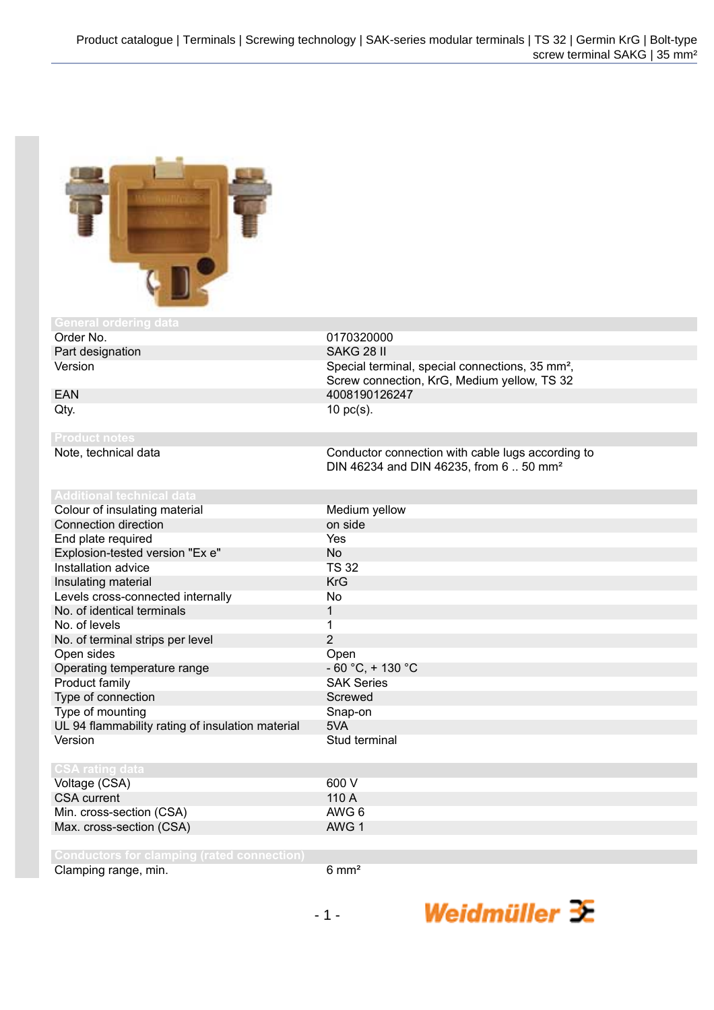

| aenerar oruering uata                             |                                                             |
|---------------------------------------------------|-------------------------------------------------------------|
| Order No.                                         | 0170320000                                                  |
| Part designation                                  | SAKG 28 II                                                  |
| Version                                           | Special terminal, special connections, 35 mm <sup>2</sup> , |
|                                                   | Screw connection, KrG, Medium yellow, TS 32                 |
| <b>EAN</b>                                        | 4008190126247                                               |
| Qty.                                              | $10$ pc(s).                                                 |
|                                                   |                                                             |
| <b>Product notes</b>                              |                                                             |
| Note, technical data                              | Conductor connection with cable lugs according to           |
|                                                   | DIN 46234 and DIN 46235, from 650 mm <sup>2</sup>           |
|                                                   |                                                             |
| <b>Additional technical data</b>                  |                                                             |
| Colour of insulating material                     | Medium yellow                                               |
| Connection direction                              | on side                                                     |
| End plate required                                | Yes                                                         |
| Explosion-tested version "Ex e"                   | <b>No</b>                                                   |
| Installation advice                               | <b>TS 32</b>                                                |
| Insulating material                               | <b>KrG</b>                                                  |
| Levels cross-connected internally                 | No                                                          |
| No. of identical terminals                        | $\mathbf{1}$                                                |
| No. of levels                                     | $\mathbf{1}$                                                |
| No. of terminal strips per level                  | $\overline{2}$                                              |
| Open sides                                        | Open                                                        |
| Operating temperature range                       | $-60 °C$ , $+130 °C$                                        |
| Product family                                    | <b>SAK Series</b>                                           |
| Type of connection                                | Screwed                                                     |
| Type of mounting                                  | Snap-on                                                     |
| UL 94 flammability rating of insulation material  | 5VA                                                         |
| Version                                           | Stud terminal                                               |
|                                                   |                                                             |
| <b>CSA rating data</b>                            |                                                             |
| Voltage (CSA)                                     | 600 V                                                       |
| <b>CSA</b> current                                | 110 A                                                       |
| Min. cross-section (CSA)                          | AWG 6                                                       |
| Max. cross-section (CSA)                          | AWG 1                                                       |
|                                                   |                                                             |
| <b>Conductors for clamping (rated connection)</b> |                                                             |

Clamping range, min. 6 mm<sup>2</sup>

Weidmüller  $\mathcal{\mathcal{F}}$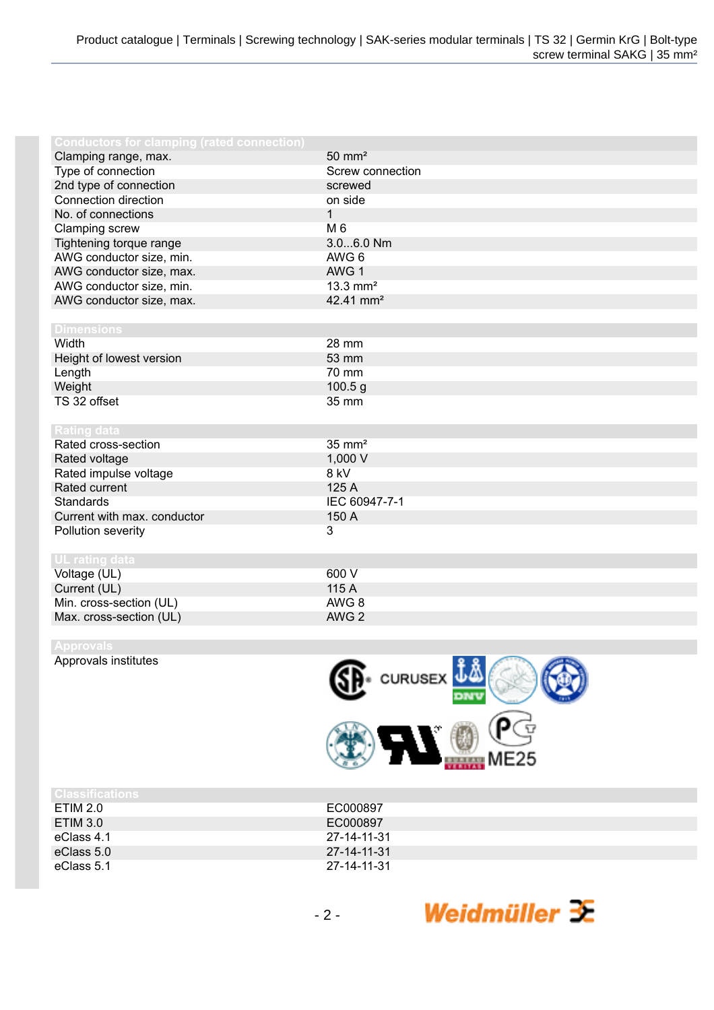| <b>Conductors for clamping (rated connection)</b> |                        |
|---------------------------------------------------|------------------------|
| Clamping range, max.                              | $50 \text{ mm}^2$      |
| Type of connection                                | Screw connection       |
| 2nd type of connection                            | screwed                |
| Connection direction                              | on side                |
| No. of connections                                | $\mathbf{1}$           |
| Clamping screw                                    | M 6                    |
| Tightening torque range                           | 3.06.0 Nm              |
| AWG conductor size, min.                          | AWG 6                  |
| AWG conductor size, max.                          | AWG 1                  |
| AWG conductor size, min.                          | $13.3$ mm <sup>2</sup> |
| AWG conductor size, max.                          | 42.41 mm <sup>2</sup>  |
|                                                   |                        |
| <b>Dimensions</b>                                 |                        |
| Width                                             | 28 mm                  |
| Height of lowest version                          | 53 mm                  |
| Length                                            | 70 mm                  |
| Weight                                            | 100.5 g                |
| TS 32 offset                                      | 35 mm                  |
|                                                   |                        |
| <b>Rating data</b>                                |                        |
| Rated cross-section                               | $35 \text{ mm}^2$      |
| Rated voltage                                     | 1,000 V                |
| Rated impulse voltage                             | 8 kV                   |
| Rated current                                     | 125 A                  |
| <b>Standards</b>                                  | IEC 60947-7-1          |
| Current with max. conductor                       | 150 A                  |
| Pollution severity                                | 3                      |
|                                                   |                        |
| <b>UL</b> rating data                             |                        |
| Voltage (UL)                                      | 600 V                  |
| Current (UL)                                      | 115 A                  |
| Min. cross-section (UL)                           | AWG <sub>8</sub>       |
| Max. cross-section (UL)                           | AWG <sub>2</sub>       |
|                                                   |                        |

Approvals institutes



| ruiassifications |             |
|------------------|-------------|
| ETIM 2.0         | EC000897    |
| ETIM 3.0         | EC000897    |
| eClass 4.1       | 27-14-11-31 |
| eClass 5.0       | 27-14-11-31 |
| eClass 5.1       | 27-14-11-31 |